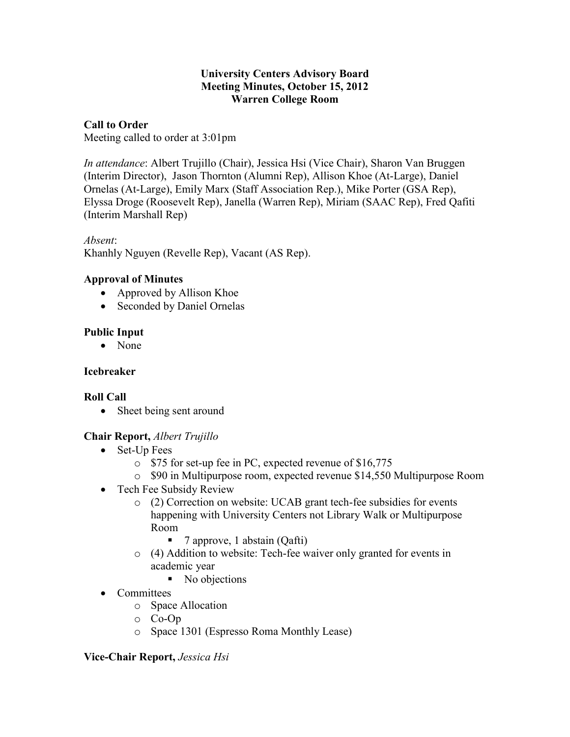#### **University Centers Advisory Board Meeting Minutes, October 15, 2012 Warren College Room**

#### **Call to Order**

Meeting called to order at 3:01pm

*In attendance*: Albert Trujillo (Chair), Jessica Hsi (Vice Chair), Sharon Van Bruggen (Interim Director), Jason Thornton (Alumni Rep), Allison Khoe (At-Large), Daniel Ornelas (At-Large), Emily Marx (Staff Association Rep.), Mike Porter (GSA Rep), Elyssa Droge (Roosevelt Rep), Janella (Warren Rep), Miriam (SAAC Rep), Fred Qafiti (Interim Marshall Rep)

*Absent*: Khanhly Nguyen (Revelle Rep), Vacant (AS Rep).

### **Approval of Minutes**

- Approved by Allison Khoe
- Seconded by Daniel Ornelas

## **Public Input**

• None

## **Icebreaker**

## **Roll Call**

• Sheet being sent around

## **Chair Report,** *Albert Trujillo*

- Set-Up Fees
	- o \$75 for set-up fee in PC, expected revenue of \$16,775
	- o \$90 in Multipurpose room, expected revenue \$14,550 Multipurpose Room
- Tech Fee Subsidy Review
	- o (2) Correction on website: UCAB grant tech-fee subsidies for events happening with University Centers not Library Walk or Multipurpose Room
		- $\blacksquare$  7 approve, 1 abstain (Qafti)
	- o (4) Addition to website: Tech-fee waiver only granted for events in academic year
		- No objections
- Committees
	- o Space Allocation
	- o Co-Op
	- o Space 1301 (Espresso Roma Monthly Lease)

## **Vice-Chair Report,** *Jessica Hsi*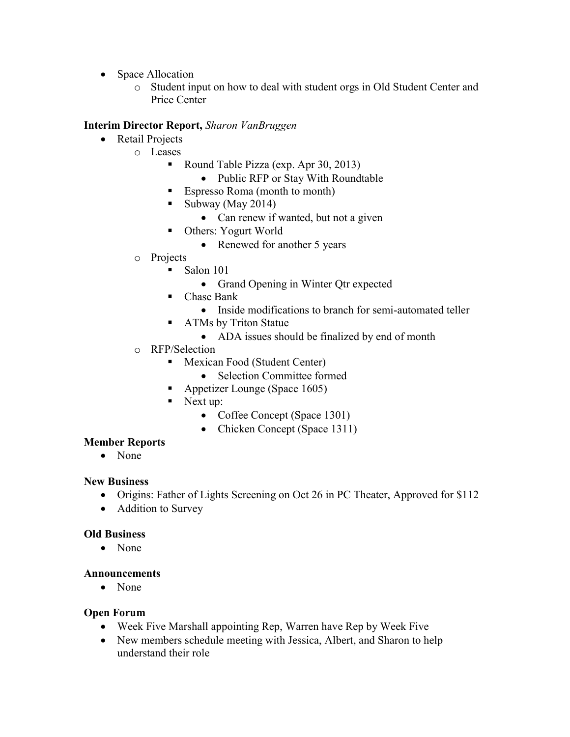- Space Allocation
	- o Student input on how to deal with student orgs in Old Student Center and Price Center

#### **Interim Director Report,** *Sharon VanBruggen*

- Retail Projects
	- o Leases
		- Round Table Pizza (exp. Apr 30, 2013)
			- Public RFP or Stay With Roundtable
		- Espresso Roma (month to month)
		- Subway (May 2014)
			- Can renew if wanted, but not a given
		- Others: Yogurt World
			- Renewed for another 5 years
		- o Projects
			- Salon 101
				- Grand Opening in Winter Qtr expected
			- Chase Bank
				- Inside modifications to branch for semi-automated teller
			- **ATMs by Triton Statue** 
				- ADA issues should be finalized by end of month
	- o RFP/Selection
		- **Mexican Food (Student Center)** 
			- Selection Committee formed
		- Appetizer Lounge (Space 1605)
		- Next up:
			- Coffee Concept (Space 1301)
			- Chicken Concept (Space 1311)

#### **Member Reports**

• None

#### **New Business**

- Origins: Father of Lights Screening on Oct 26 in PC Theater, Approved for \$112
- Addition to Survey

#### **Old Business**

• None

#### **Announcements**

• None

#### **Open Forum**

- Week Five Marshall appointing Rep, Warren have Rep by Week Five
- New members schedule meeting with Jessica, Albert, and Sharon to help understand their role